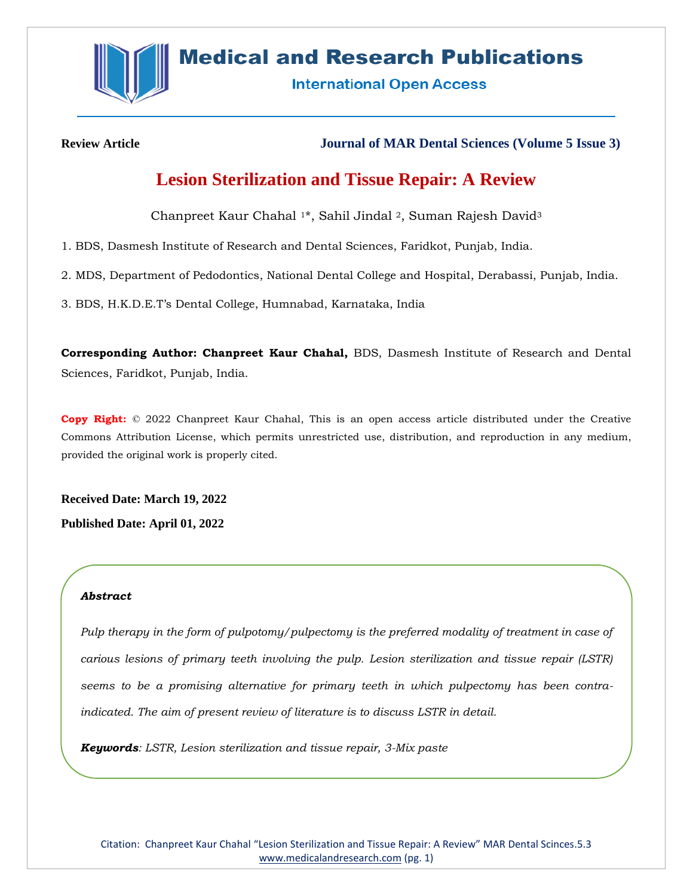

# **Medical and Research Publications**

**International Open Access** 

**Review Article Journal of MAR Dental Sciences (Volume 5 Issue 3)**

## **Lesion Sterilization and Tissue Repair: A Review**

Chanpreet Kaur Chahal <sup>1</sup>\*, Sahil Jindal <sup>2</sup>, Suman Rajesh David<sup>3</sup>

1. BDS, Dasmesh Institute of Research and Dental Sciences, Faridkot, Punjab, India.

2. MDS, Department of Pedodontics, National Dental College and Hospital, Derabassi, Punjab, India.

3. BDS, H.K.D.E.T's Dental College, Humnabad, Karnataka, India

**Corresponding Author: Chanpreet Kaur Chahal,** BDS, Dasmesh Institute of Research and Dental Sciences, Faridkot, Punjab, India.

**Copy Right:** © 2022 Chanpreet Kaur Chahal, This is an open access article distributed under the Creative Commons Attribution License, which permits unrestricted use, distribution, and reproduction in any medium, provided the original work is properly cited.

**Received Date: March 19, 2022 Published Date: April 01, 2022**

## *Abstract*

*Pulp therapy in the form of pulpotomy/pulpectomy is the preferred modality of treatment in case of carious lesions of primary teeth involving the pulp. Lesion sterilization and tissue repair (LSTR) seems to be a promising alternative for primary teeth in which pulpectomy has been contraindicated. The aim of present review of literature is to discuss LSTR in detail.*

*Keywords: LSTR, Lesion sterilization and tissue repair, 3-Mix paste*

Citation: Chanpreet Kaur Chahal "Lesion Sterilization and Tissue Repair: A Review" MAR Dental Scinces.5.3 [www.medicalandresearch.com](http://www.medicalandresearch.com/) (pg. 1)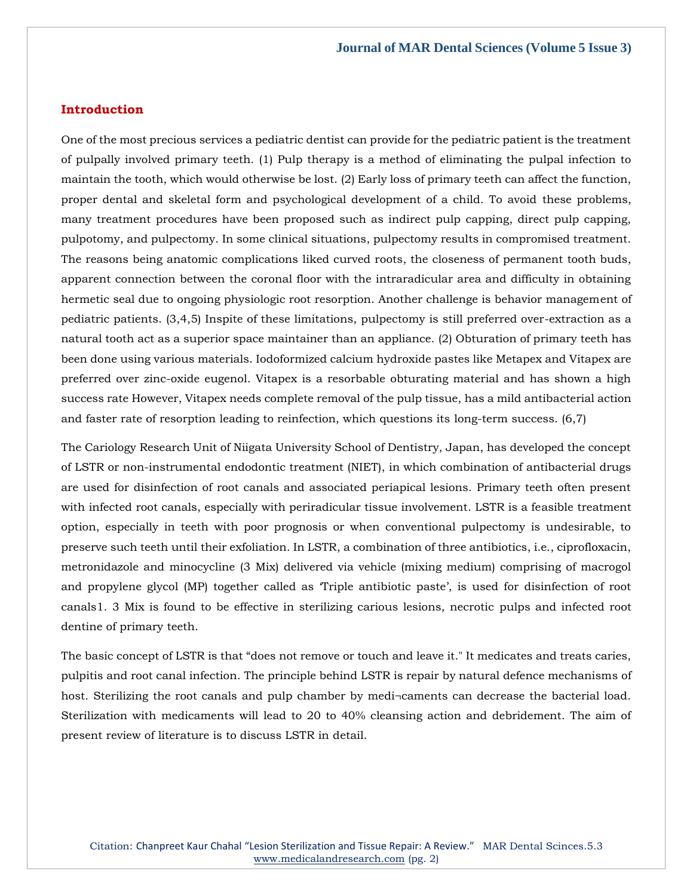## **Introduction**

One of the most precious services a pediatric dentist can provide for the pediatric patient is the treatment of pulpally involved primary teeth. (1) Pulp therapy is a method of eliminating the pulpal infection to maintain the tooth, which would otherwise be lost. (2) Early loss of primary teeth can affect the function, proper dental and skeletal form and psychological development of a child. To avoid these problems, many treatment procedures have been proposed such as indirect pulp capping, direct pulp capping, pulpotomy, and pulpectomy. In some clinical situations, pulpectomy results in compromised treatment. The reasons being anatomic complications liked curved roots, the closeness of permanent tooth buds, apparent connection between the coronal floor with the intraradicular area and difficulty in obtaining hermetic seal due to ongoing physiologic root resorption. Another challenge is behavior management of pediatric patients. (3,4,5) Inspite of these limitations, pulpectomy is still preferred over-extraction as a natural tooth act as a superior space maintainer than an appliance. (2) Obturation of primary teeth has been done using various materials. Iodoformized calcium hydroxide pastes like Metapex and Vitapex are preferred over zinc-oxide eugenol. Vitapex is a resorbable obturating material and has shown a high success rate However, Vitapex needs complete removal of the pulp tissue, has a mild antibacterial action and faster rate of resorption leading to reinfection, which questions its long-term success. (6,7)

The Cariology Research Unit of Niigata University School of Dentistry, Japan, has developed the concept of LSTR or non-instrumental endodontic treatment (NIET), in which combination of antibacterial drugs are used for disinfection of root canals and associated periapical lesions. Primary teeth often present with infected root canals, especially with periradicular tissue involvement. LSTR is a feasible treatment option, especially in teeth with poor prognosis or when conventional pulpectomy is undesirable, to preserve such teeth until their exfoliation. In LSTR, a combination of three antibiotics, i.e., ciprofloxacin, metronidazole and minocycline (3 Mix) delivered via vehicle (mixing medium) comprising of macrogol and propylene glycol (MP) together called as 'Triple antibiotic paste', is used for disinfection of root canals1. 3 Mix is found to be effective in sterilizing carious lesions, necrotic pulps and infected root dentine of primary teeth.

The basic concept of LSTR is that "does not remove or touch and leave it." It medicates and treats caries, pulpitis and root canal infection. The principle behind LSTR is repair by natural defence mechanisms of host. Sterilizing the root canals and pulp chamber by medi¬caments can decrease the bacterial load. Sterilization with medicaments will lead to 20 to 40% cleansing action and debridement. The aim of present review of literature is to discuss LSTR in detail.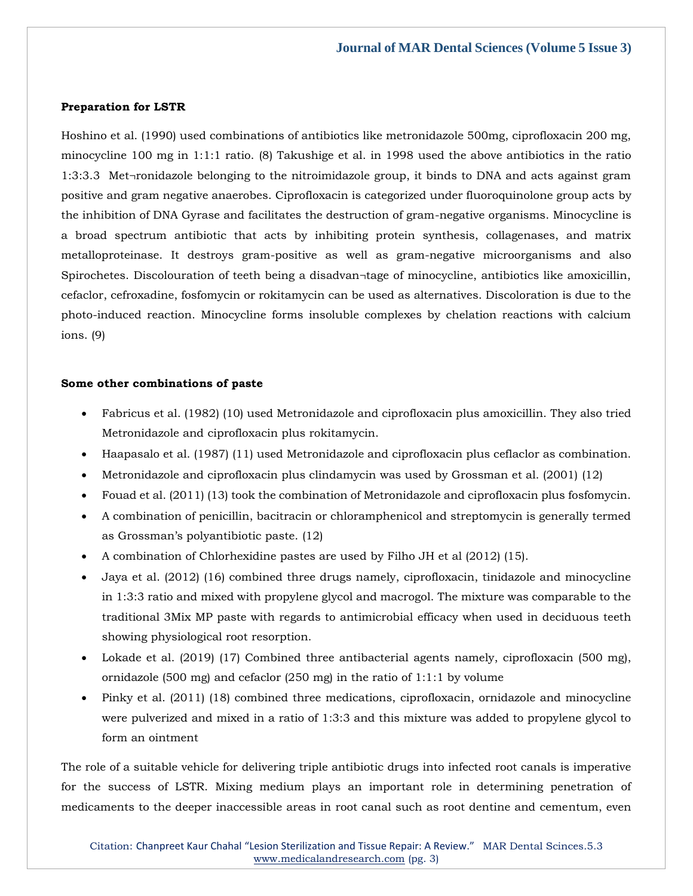#### **Preparation for LSTR**

Hoshino et al. (1990) used combinations of antibiotics like metronidazole 500mg, ciprofloxacin 200 mg, minocycline 100 mg in 1:1:1 ratio. (8) Takushige et al. in 1998 used the above antibiotics in the ratio 1:3:3.3 Met¬ronidazole belonging to the nitroimidazole group, it binds to DNA and acts against gram positive and gram negative anaerobes. Ciprofloxacin is categorized under fluoroquinolone group acts by the inhibition of DNA Gyrase and facilitates the destruction of gram-negative organisms. Minocycline is a broad spectrum antibiotic that acts by inhibiting protein synthesis, collagenases, and matrix metalloproteinase. It destroys gram-positive as well as gram-negative microorganisms and also Spirochetes. Discolouration of teeth being a disadvan¬tage of minocycline, antibiotics like amoxicillin, cefaclor, cefroxadine, fosfomycin or rokitamycin can be used as alternatives. Discoloration is due to the photo-induced reaction. Minocycline forms insoluble complexes by chelation reactions with calcium ions. (9)

#### **Some other combinations of paste**

- Fabricus et al. (1982) (10) used Metronidazole and ciprofloxacin plus amoxicillin. They also tried Metronidazole and ciprofloxacin plus rokitamycin.
- Haapasalo et al. (1987) (11) used Metronidazole and ciprofloxacin plus ceflaclor as combination.
- Metronidazole and ciprofloxacin plus clindamycin was used by Grossman et al. (2001) (12)
- Fouad et al. (2011) (13) took the combination of Metronidazole and ciprofloxacin plus fosfomycin.
- A combination of penicillin, bacitracin or chloramphenicol and streptomycin is generally termed as Grossman's polyantibiotic paste. (12)
- A combination of Chlorhexidine pastes are used by Filho JH et al (2012) (15).
- Jaya et al. (2012) (16) combined three drugs namely, ciprofloxacin, tinidazole and minocycline in 1:3:3 ratio and mixed with propylene glycol and macrogol. The mixture was comparable to the traditional 3Mix MP paste with regards to antimicrobial efficacy when used in deciduous teeth showing physiological root resorption.
- Lokade et al. (2019) (17) Combined three antibacterial agents namely, ciprofloxacin (500 mg), ornidazole (500 mg) and cefaclor (250 mg) in the ratio of 1:1:1 by volume
- Pinky et al. (2011) (18) combined three medications, ciprofloxacin, ornidazole and minocycline were pulverized and mixed in a ratio of 1:3:3 and this mixture was added to propylene glycol to form an ointment

The role of a suitable vehicle for delivering triple antibiotic drugs into infected root canals is imperative for the success of LSTR. Mixing medium plays an important role in determining penetration of medicaments to the deeper inaccessible areas in root canal such as root dentine and cementum, even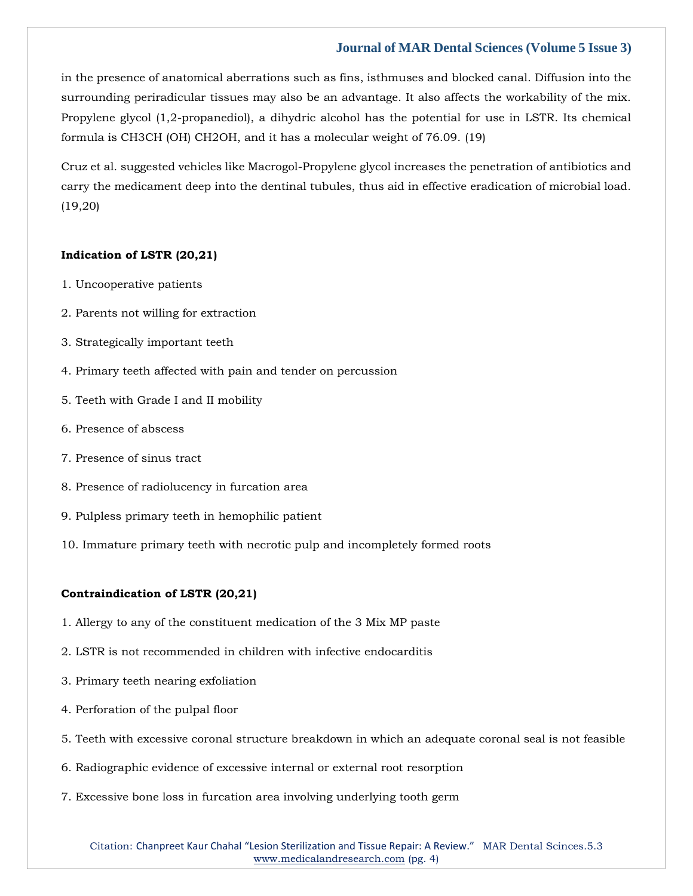in the presence of anatomical aberrations such as fins, isthmuses and blocked canal. Diffusion into the surrounding periradicular tissues may also be an advantage. It also affects the workability of the mix. Propylene glycol (1,2-propanediol), a dihydric alcohol has the potential for use in LSTR. Its chemical formula is CH3CH (OH) CH2OH, and it has a molecular weight of 76.09. (19)

Cruz et al. suggested vehicles like Macrogol-Propylene glycol increases the penetration of antibiotics and carry the medicament deep into the dentinal tubules, thus aid in effective eradication of microbial load. (19,20)

## **Indication of LSTR (20,21)**

- 1. Uncooperative patients
- 2. Parents not willing for extraction
- 3. Strategically important teeth
- 4. Primary teeth affected with pain and tender on percussion
- 5. Teeth with Grade I and II mobility
- 6. Presence of abscess
- 7. Presence of sinus tract
- 8. Presence of radiolucency in furcation area
- 9. Pulpless primary teeth in hemophilic patient
- 10. Immature primary teeth with necrotic pulp and incompletely formed roots

#### **Contraindication of LSTR (20,21)**

- 1. Allergy to any of the constituent medication of the 3 Mix MP paste
- 2. LSTR is not recommended in children with infective endocarditis
- 3. Primary teeth nearing exfoliation
- 4. Perforation of the pulpal floor
- 5. Teeth with excessive coronal structure breakdown in which an adequate coronal seal is not feasible
- 6. Radiographic evidence of excessive internal or external root resorption
- 7. Excessive bone loss in furcation area involving underlying tooth germ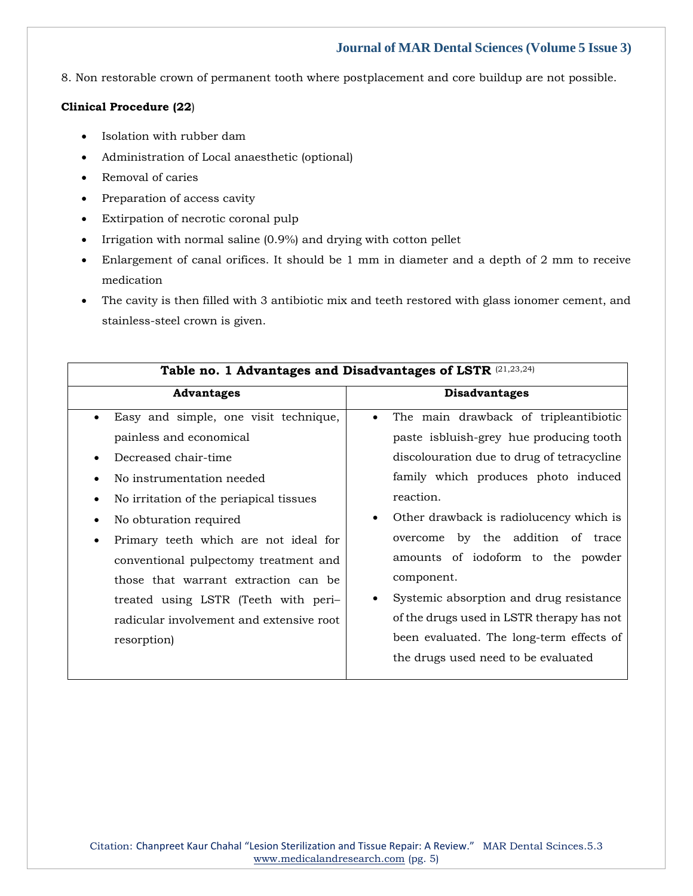8. Non restorable crown of permanent tooth where postplacement and core buildup are not possible.

## **Clinical Procedure (22**)

- Isolation with rubber dam
- Administration of Local anaesthetic (optional)
- Removal of caries
- Preparation of access cavity
- Extirpation of necrotic coronal pulp
- Irrigation with normal saline (0.9%) and drying with cotton pellet
- Enlargement of canal orifices. It should be 1 mm in diameter and a depth of 2 mm to receive medication
- The cavity is then filled with 3 antibiotic mix and teeth restored with glass ionomer cement, and stainless-steel crown is given.

| Table no. 1 Advantages and Disadvantages of LSTR (21,23,24) |                                                      |
|-------------------------------------------------------------|------------------------------------------------------|
| <b>Advantages</b>                                           | <b>Disadvantages</b>                                 |
| Easy and simple, one visit technique,                       | The main drawback of tripleantibiotic                |
| painless and economical                                     | paste is bluish-grey hue producing tooth             |
| Decreased chair-time                                        | discolouration due to drug of tetracycline           |
| No instrumentation needed                                   | family which produces photo induced                  |
| No irritation of the periapical tissues                     | reaction.                                            |
| No obturation required                                      | Other drawback is radiolucency which is<br>$\bullet$ |
| Primary teeth which are not ideal for                       | overcome by the addition of trace                    |
| conventional pulpectomy treatment and                       | amounts of iodoform to the powder                    |
| those that warrant extraction can be                        | component.                                           |
| treated using LSTR (Teeth with peri-                        | Systemic absorption and drug resistance              |
| radicular involvement and extensive root                    | of the drugs used in LSTR therapy has not            |
| resorption)                                                 | been evaluated. The long-term effects of             |
|                                                             | the drugs used need to be evaluated                  |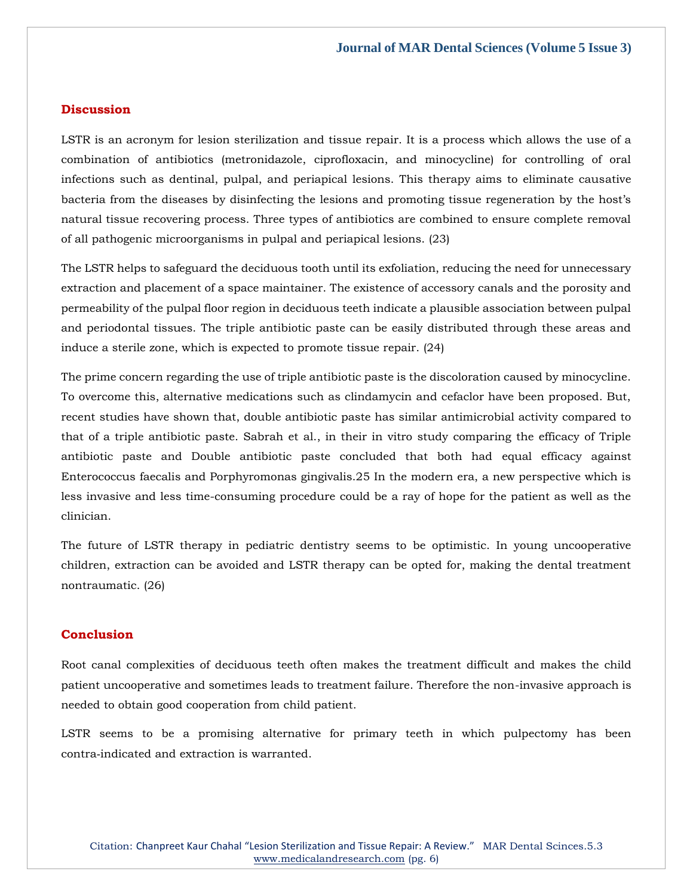## **Discussion**

LSTR is an acronym for lesion sterilization and tissue repair. It is a process which allows the use of a combination of antibiotics (metronidazole, ciprofloxacin, and minocycline) for controlling of oral infections such as dentinal, pulpal, and periapical lesions. This therapy aims to eliminate causative bacteria from the diseases by disinfecting the lesions and promoting tissue regeneration by the host's natural tissue recovering process. Three types of antibiotics are combined to ensure complete removal of all pathogenic microorganisms in pulpal and periapical lesions. (23)

The LSTR helps to safeguard the deciduous tooth until its exfoliation, reducing the need for unnecessary extraction and placement of a space maintainer. The existence of accessory canals and the porosity and permeability of the pulpal floor region in deciduous teeth indicate a plausible association between pulpal and periodontal tissues. The triple antibiotic paste can be easily distributed through these areas and induce a sterile zone, which is expected to promote tissue repair. (24)

The prime concern regarding the use of triple antibiotic paste is the discoloration caused by minocycline. To overcome this, alternative medications such as clindamycin and cefaclor have been proposed. But, recent studies have shown that, double antibiotic paste has similar antimicrobial activity compared to that of a triple antibiotic paste. Sabrah et al., in their in vitro study comparing the efficacy of Triple antibiotic paste and Double antibiotic paste concluded that both had equal efficacy against Enterococcus faecalis and Porphyromonas gingivalis.25 In the modern era, a new perspective which is less invasive and less time-consuming procedure could be a ray of hope for the patient as well as the clinician.

The future of LSTR therapy in pediatric dentistry seems to be optimistic. In young uncooperative children, extraction can be avoided and LSTR therapy can be opted for, making the dental treatment nontraumatic. (26)

## **Conclusion**

Root canal complexities of deciduous teeth often makes the treatment difficult and makes the child patient uncooperative and sometimes leads to treatment failure. Therefore the non-invasive approach is needed to obtain good cooperation from child patient.

LSTR seems to be a promising alternative for primary teeth in which pulpectomy has been contra‑indicated and extraction is warranted.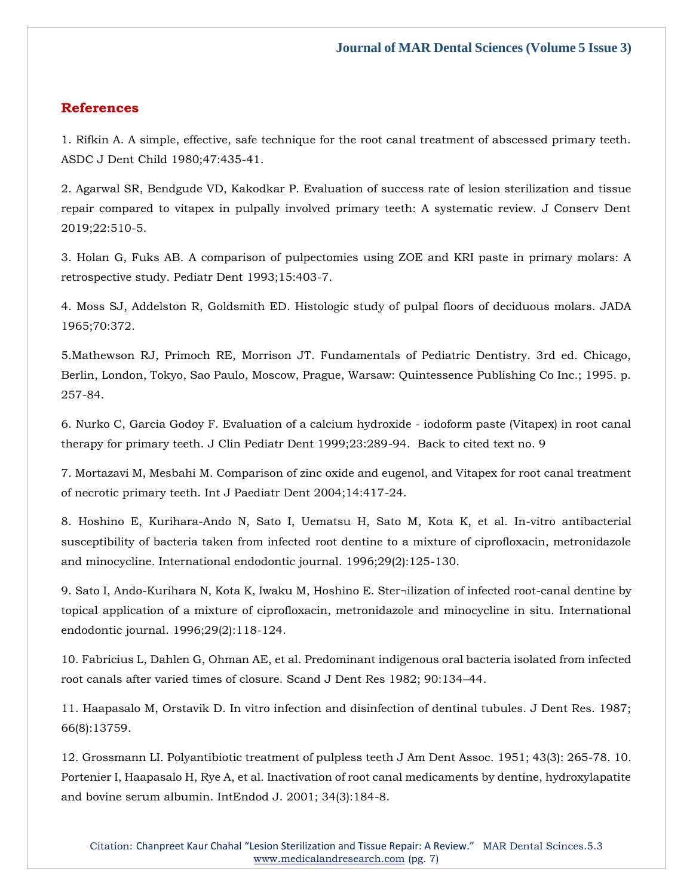## **References**

1. [Rifkin A. A simple, effective, safe technique for the root canal treatment of abscessed primary teeth.](https://www.google.com/search?q=A+simple%2C+effective%2C+safe+technique+for+the+root+canal+treatment+of+abscessed+primary+teeth&sxsrf=APq-WBuAB0RBi5OfCruFz_sfsC4_SM5wbg%3A1648015165567&ei=Pbc6YqukIuSbseMPssKxwAU&ved=0ahUKEwjrtpz0xtv2AhXkTWwGHTJhDFgQ4dUDCA4&oq=A+simple%2C+effective%2C+safe+technique+for+the+root+canal+treatment+of+abscessed+primary+teeth&gs_lcp=Cgdnd3Mtd2l6EAw6BwgjEOoCECdKBAhBGABKBAhGGABQvAJYvAJg0gloAXABeACAAV-IAV-SAQExmAEAoAEBoAECsAEKwAEB&sclient=gws-wiz)  [ASDC J Dent Child 1980;47:435-41.](https://www.google.com/search?q=A+simple%2C+effective%2C+safe+technique+for+the+root+canal+treatment+of+abscessed+primary+teeth&sxsrf=APq-WBuAB0RBi5OfCruFz_sfsC4_SM5wbg%3A1648015165567&ei=Pbc6YqukIuSbseMPssKxwAU&ved=0ahUKEwjrtpz0xtv2AhXkTWwGHTJhDFgQ4dUDCA4&oq=A+simple%2C+effective%2C+safe+technique+for+the+root+canal+treatment+of+abscessed+primary+teeth&gs_lcp=Cgdnd3Mtd2l6EAw6BwgjEOoCECdKBAhBGABKBAhGGABQvAJYvAJg0gloAXABeACAAV-IAV-SAQExmAEAoAEBoAECsAEKwAEB&sclient=gws-wiz)

2. [Agarwal SR, Bendgude VD, Kakodkar P. Evaluation of success rate of](https://www.google.com/search?q=Evaluation+of+success+rate+of+lesion+sterilization+and+tissue+repair+compared+to+vitapex+in+pulpally+involved+primary+teeth%3A+A+systematic+review&sxsrf=APq-WBt1MBV4FjPzblolhnW5EBbmrM1lZQ%3A1648028139585&ei=6-k6Yr7lIoCdseMPx7Kn4Ac&ved=0ahUKEwj-htue99v2AhWATmwGHUfZCXwQ4dUDCA4&oq=Evaluation+of+success+rate+of+lesion+sterilization+and+tissue+repair+compared+to+vitapex+in+pulpally+involved+primary+teeth%3A+A+systematic+review&gs_lcp=Cgdnd3Mtd2l6EAwyBwgjEOoCECcyBwgjEOoCECcyBwgjEOoCECcyBwgjEOoCECcyBwgjEOoCECcyBwgjEOoCECcyBwgjEOoCECcyBwgjEOoCECcyBwgjEOoCECcyBwgjEOoCECdKBAhBGABKBAhGGABQ8AFY8AFgoAdoAXAAeACAAQCIAQCSAQCYAQCgAQGgAQKwAQrAAQE&sclient=gws-wiz) lesion sterilization and tissue [repair compared to vitapex in pulpally involved primary teeth: A systematic review. J Conserv Dent](https://www.google.com/search?q=Evaluation+of+success+rate+of+lesion+sterilization+and+tissue+repair+compared+to+vitapex+in+pulpally+involved+primary+teeth%3A+A+systematic+review&sxsrf=APq-WBt1MBV4FjPzblolhnW5EBbmrM1lZQ%3A1648028139585&ei=6-k6Yr7lIoCdseMPx7Kn4Ac&ved=0ahUKEwj-htue99v2AhWATmwGHUfZCXwQ4dUDCA4&oq=Evaluation+of+success+rate+of+lesion+sterilization+and+tissue+repair+compared+to+vitapex+in+pulpally+involved+primary+teeth%3A+A+systematic+review&gs_lcp=Cgdnd3Mtd2l6EAwyBwgjEOoCECcyBwgjEOoCECcyBwgjEOoCECcyBwgjEOoCECcyBwgjEOoCECcyBwgjEOoCECcyBwgjEOoCECcyBwgjEOoCECcyBwgjEOoCECcyBwgjEOoCECdKBAhBGABKBAhGGABQ8AFY8AFgoAdoAXAAeACAAQCIAQCSAQCYAQCgAQGgAQKwAQrAAQE&sclient=gws-wiz)  [2019;22:510-5.](https://www.google.com/search?q=Evaluation+of+success+rate+of+lesion+sterilization+and+tissue+repair+compared+to+vitapex+in+pulpally+involved+primary+teeth%3A+A+systematic+review&sxsrf=APq-WBt1MBV4FjPzblolhnW5EBbmrM1lZQ%3A1648028139585&ei=6-k6Yr7lIoCdseMPx7Kn4Ac&ved=0ahUKEwj-htue99v2AhWATmwGHUfZCXwQ4dUDCA4&oq=Evaluation+of+success+rate+of+lesion+sterilization+and+tissue+repair+compared+to+vitapex+in+pulpally+involved+primary+teeth%3A+A+systematic+review&gs_lcp=Cgdnd3Mtd2l6EAwyBwgjEOoCECcyBwgjEOoCECcyBwgjEOoCECcyBwgjEOoCECcyBwgjEOoCECcyBwgjEOoCECcyBwgjEOoCECcyBwgjEOoCECcyBwgjEOoCECcyBwgjEOoCECdKBAhBGABKBAhGGABQ8AFY8AFgoAdoAXAAeACAAQCIAQCSAQCYAQCgAQGgAQKwAQrAAQE&sclient=gws-wiz)

3. [Holan G, Fuks AB. A comparison of pulpectomies using ZOE and KRI paste in primary molars: A](https://www.google.com/search?q=A+comparison+of+pulpectomies+using+ZOE+and+KRI+paste+in+primary+molars%3A+A+retrospective+study&sxsrf=APq-WBvJA_xOJvCbH59Z9kioSPb7IaI9SA%3A1648028154565&ei=-uk6YvOOIqaTseMPqKW9yA0&ved=0ahUKEwjz8-2l99v2AhWmSWwGHahSD9kQ4dUDCA4&oq=A+comparison+of+pulpectomies+using+ZOE+and+KRI+paste+in+primary+molars%3A+A+retrospective+study&gs_lcp=Cgdnd3Mtd2l6EAwyBggAEAoQHjoHCCMQ6gIQJ0oECEEYAEoECEYYAFD1AVj1AWC5CGgBcAF4AIABaYgBaZIBAzAuMZgBAKABAaABArABCsABAQ&sclient=gws-wiz)  retrospective study. [Pediatr Dent 1993;15:403-7.](https://www.google.com/search?q=A+comparison+of+pulpectomies+using+ZOE+and+KRI+paste+in+primary+molars%3A+A+retrospective+study&sxsrf=APq-WBvJA_xOJvCbH59Z9kioSPb7IaI9SA%3A1648028154565&ei=-uk6YvOOIqaTseMPqKW9yA0&ved=0ahUKEwjz8-2l99v2AhWmSWwGHahSD9kQ4dUDCA4&oq=A+comparison+of+pulpectomies+using+ZOE+and+KRI+paste+in+primary+molars%3A+A+retrospective+study&gs_lcp=Cgdnd3Mtd2l6EAwyBggAEAoQHjoHCCMQ6gIQJ0oECEEYAEoECEYYAFD1AVj1AWC5CGgBcAF4AIABaYgBaZIBAzAuMZgBAKABAaABArABCsABAQ&sclient=gws-wiz) 

4. [Moss SJ, Addelston R, Goldsmith ED. Histologic study of pulpal floors of deciduous molars. JADA](https://www.google.com/search?q=Histologic+study+of+pulpal+floors+of+deciduous+molars&sxsrf=APq-WBs7RnGYSTE2j5fsq8RXIuwizxWf-w%3A1648028188473&ei=HOo6Yr67HJ2fseMPktGagAY&ved=0ahUKEwi-uYO299v2AhWdT2wGHZKoBmAQ4dUDCA4&oq=Histologic+study+of+pulpal+floors+of+deciduous+molars&gs_lcp=Cgdnd3Mtd2l6EAw6BwgjEOoCECdKBAhBGABKBAhGGABQ8wFY8wFg3wZoAXABeACAAZIBiAGSAZIBAzAuMZgBAKABAaABArABCsABAQ&sclient=gws-wiz)  [1965;70:372.](https://www.google.com/search?q=Histologic+study+of+pulpal+floors+of+deciduous+molars&sxsrf=APq-WBs7RnGYSTE2j5fsq8RXIuwizxWf-w%3A1648028188473&ei=HOo6Yr67HJ2fseMPktGagAY&ved=0ahUKEwi-uYO299v2AhWdT2wGHZKoBmAQ4dUDCA4&oq=Histologic+study+of+pulpal+floors+of+deciduous+molars&gs_lcp=Cgdnd3Mtd2l6EAw6BwgjEOoCECdKBAhBGABKBAhGGABQ8wFY8wFg3wZoAXABeACAAZIBiAGSAZIBAzAuMZgBAKABAaABArABCsABAQ&sclient=gws-wiz)

5.Mathewson RJ, Primoch [RE, Morrison JT. Fundamentals of Pediatric Dentistry. 3rd ed. Chicago,](https://www.google.com/search?q=Fundamentals+of+Pediatric+Dentistry&sxsrf=APq-WBt1ZRKndI7U_TC0gGG93Gyso-OF5w%3A1648028203964&ei=K-o6YpO9Oq6cseMP8ueDSA&ved=0ahUKEwjT_rS999v2AhUuTmwGHfLzAAkQ4dUDCA4&oq=Fundamentals+of+Pediatric+Dentistry&gs_lcp=Cgdnd3Mtd2l6EAwyBQguEIAEMgUIABCABDIGCAAQFhAeMgYIABAWEB4yBggAEBYQHjIGCAAQFhAeMgYIABAWEB46BwgjEOoCECdKBAhBGABKBAhGGABQ7wFY7wFgsghoAXAAeACAAV-IAV-SAQExmAEAoAEBoAECsAEKwAEB&sclient=gws-wiz)  [Berlin, London, Tokyo, Sao Paulo, Moscow, Prague, Warsaw: Quintessence Publishing Co Inc.; 1995. p.](https://www.google.com/search?q=Fundamentals+of+Pediatric+Dentistry&sxsrf=APq-WBt1ZRKndI7U_TC0gGG93Gyso-OF5w%3A1648028203964&ei=K-o6YpO9Oq6cseMP8ueDSA&ved=0ahUKEwjT_rS999v2AhUuTmwGHfLzAAkQ4dUDCA4&oq=Fundamentals+of+Pediatric+Dentistry&gs_lcp=Cgdnd3Mtd2l6EAwyBQguEIAEMgUIABCABDIGCAAQFhAeMgYIABAWEB4yBggAEBYQHjIGCAAQFhAeMgYIABAWEB46BwgjEOoCECdKBAhBGABKBAhGGABQ7wFY7wFgsghoAXAAeACAAV-IAV-SAQExmAEAoAEBoAECsAEKwAEB&sclient=gws-wiz)  [257-84.](https://www.google.com/search?q=Fundamentals+of+Pediatric+Dentistry&sxsrf=APq-WBt1ZRKndI7U_TC0gGG93Gyso-OF5w%3A1648028203964&ei=K-o6YpO9Oq6cseMP8ueDSA&ved=0ahUKEwjT_rS999v2AhUuTmwGHfLzAAkQ4dUDCA4&oq=Fundamentals+of+Pediatric+Dentistry&gs_lcp=Cgdnd3Mtd2l6EAwyBQguEIAEMgUIABCABDIGCAAQFhAeMgYIABAWEB4yBggAEBYQHjIGCAAQFhAeMgYIABAWEB46BwgjEOoCECdKBAhBGABKBAhGGABQ7wFY7wFgsghoAXAAeACAAV-IAV-SAQExmAEAoAEBoAECsAEKwAEB&sclient=gws-wiz)

6. [Nurko C, Garcia Godoy F. Evaluation of a calcium hydroxide -](https://www.google.com/search?q=Evaluation+of+a+calcium+hydroxide+-+iodoform+paste+%28Vitapex%29+in+root+canal+therapy+for+primary+teeth.+&sxsrf=APq-WBstjVYcfQr2uMjoLh0WKHskBNk_mQ%3A1648028233170&ei=Seo6YoGMCuGTseMP6qWHwA0&ved=0ahUKEwjB1KvL99v2AhXhSWwGHerSAdgQ4dUDCA4&oq=Evaluation+of+a+calcium+hydroxide+-+iodoform+paste+%28Vitapex%29+in+root+canal+therapy+for+primary+teeth.+&gs_lcp=Cgdnd3Mtd2l6EAwyBwgjEOoCECcyBwgjEOoCECcyBwgjEOoCECcyBwgjEOoCECcyBwgjEOoCECcyBwgjEOoCECcyBwgjEOoCECcyBwgjEOoCECcyBwgjEOoCECcyBwgjEOoCECdKBAhBGABKBAhGGABQogRYogRg_gtoAXABeACAAQCIAQCSAQCYAQCgAQGgAQKwAQrAAQE&sclient=gws-wiz) iodoform paste (Vitapex) in root canal [therapy for primary teeth. J Clin Pediatr Dent 1999;23:289-94. Back to cited text no. 9](https://www.google.com/search?q=Evaluation+of+a+calcium+hydroxide+-+iodoform+paste+%28Vitapex%29+in+root+canal+therapy+for+primary+teeth.+&sxsrf=APq-WBstjVYcfQr2uMjoLh0WKHskBNk_mQ%3A1648028233170&ei=Seo6YoGMCuGTseMP6qWHwA0&ved=0ahUKEwjB1KvL99v2AhXhSWwGHerSAdgQ4dUDCA4&oq=Evaluation+of+a+calcium+hydroxide+-+iodoform+paste+%28Vitapex%29+in+root+canal+therapy+for+primary+teeth.+&gs_lcp=Cgdnd3Mtd2l6EAwyBwgjEOoCECcyBwgjEOoCECcyBwgjEOoCECcyBwgjEOoCECcyBwgjEOoCECcyBwgjEOoCECcyBwgjEOoCECcyBwgjEOoCECcyBwgjEOoCECcyBwgjEOoCECdKBAhBGABKBAhGGABQogRYogRg_gtoAXABeACAAQCIAQCSAQCYAQCgAQGgAQKwAQrAAQE&sclient=gws-wiz) 

7. [Mortazavi M, Mesbahi M. Comparison of zinc oxide and eugenol, and Vitapex for root canal treatment](https://www.google.com/search?q=Comparison+of+zinc+oxide+and+eugenol%2C+and+Vitapex+for+root+canal+treatment+of+necrotic+primary+teeth.+&sxsrf=APq-WBvylEJU3vsIqAudU35fkwLx4v9q2A%3A1648028239568&ei=T-o6YqGgIoacseMP2qGJ2Ag&ved=0ahUKEwjhg7LO99v2AhUGTmwGHdpQAosQ4dUDCA4&oq=Comparison+of+zinc+oxide+and+eugenol%2C+and+Vitapex+for+root+canal+treatment+of+necrotic+primary+teeth.+&gs_lcp=Cgdnd3Mtd2l6EAwyBwgjEOoCECcyBwgjEOoCECcyBwgjEOoCECcyBwgjEOoCECcyBwgjEOoCECcyBwgjEOoCECcyBwgjEOoCECcyBwgjEOoCECcyBwgjEOoCECcyBwgjEOoCECdKBAhBGABKBAhGGABQZFhkYOgHaAFwAXgAgAEAiAEAkgEAmAEAoAEBoAECsAEKwAEB&sclient=gws-wiz)  [of necrotic primary teeth. Int J Paediatr Dent 2004;14:417-24.](https://www.google.com/search?q=Comparison+of+zinc+oxide+and+eugenol%2C+and+Vitapex+for+root+canal+treatment+of+necrotic+primary+teeth.+&sxsrf=APq-WBvylEJU3vsIqAudU35fkwLx4v9q2A%3A1648028239568&ei=T-o6YqGgIoacseMP2qGJ2Ag&ved=0ahUKEwjhg7LO99v2AhUGTmwGHdpQAosQ4dUDCA4&oq=Comparison+of+zinc+oxide+and+eugenol%2C+and+Vitapex+for+root+canal+treatment+of+necrotic+primary+teeth.+&gs_lcp=Cgdnd3Mtd2l6EAwyBwgjEOoCECcyBwgjEOoCECcyBwgjEOoCECcyBwgjEOoCECcyBwgjEOoCECcyBwgjEOoCECcyBwgjEOoCECcyBwgjEOoCECcyBwgjEOoCECcyBwgjEOoCECdKBAhBGABKBAhGGABQZFhkYOgHaAFwAXgAgAEAiAEAkgEAmAEAoAEBoAECsAEKwAEB&sclient=gws-wiz)

8. [Hoshino E, Kurihara-Ando N, Sato I, Uematsu H, Sato M, Kota K, et al. In-vitro antibacterial](https://www.google.com/search?q=In-vitro+antibacterial+susceptibility+of+bacteria+taken+from+infected+root+dentine+to+a+mixture+of+ciprofloxacin%2C+metronidazole+and+minocycline&sxsrf=APq-WBvZo4MkBYwG9VhHDWk8bzCCHQOpyw%3A1648028252826&ei=XOo6YqKHMo2RseMP09eEoA0&ved=0ahUKEwiipdvU99v2AhWNSGwGHdMrAdQQ4dUDCA4&oq=In-vitro+antibacterial+susceptibility+of+bacteria+taken+from+infected+root+dentine+to+a+mixture+of+ciprofloxacin%2C+metronidazole+and+minocycline&gs_lcp=Cgdnd3Mtd2l6EAwyBwgjEOoCECcyBwgjEOoCECcyBwgjEOoCECcyBwgjEOoCECcyBwgjEOoCECcyBwgjEOoCECcyBwgjEOoCECcyBwgjEOoCECcyBwgjEOoCECcyBwgjEOoCECdKBAhBGABKBAhGGABQdVh1YLMHaAFwAXgAgAEAiAEAkgEAmAEAoAEBoAECsAEKwAEB&sclient=gws-wiz)  [susceptibility of bacteria taken from infected root dentine to a mixture of ciprofloxacin, metronidazole](https://www.google.com/search?q=In-vitro+antibacterial+susceptibility+of+bacteria+taken+from+infected+root+dentine+to+a+mixture+of+ciprofloxacin%2C+metronidazole+and+minocycline&sxsrf=APq-WBvZo4MkBYwG9VhHDWk8bzCCHQOpyw%3A1648028252826&ei=XOo6YqKHMo2RseMP09eEoA0&ved=0ahUKEwiipdvU99v2AhWNSGwGHdMrAdQQ4dUDCA4&oq=In-vitro+antibacterial+susceptibility+of+bacteria+taken+from+infected+root+dentine+to+a+mixture+of+ciprofloxacin%2C+metronidazole+and+minocycline&gs_lcp=Cgdnd3Mtd2l6EAwyBwgjEOoCECcyBwgjEOoCECcyBwgjEOoCECcyBwgjEOoCECcyBwgjEOoCECcyBwgjEOoCECcyBwgjEOoCECcyBwgjEOoCECcyBwgjEOoCECcyBwgjEOoCECdKBAhBGABKBAhGGABQdVh1YLMHaAFwAXgAgAEAiAEAkgEAmAEAoAEBoAECsAEKwAEB&sclient=gws-wiz)  [and minocycline. International endodontic journal. 1996;29\(2\):125-130.](https://www.google.com/search?q=In-vitro+antibacterial+susceptibility+of+bacteria+taken+from+infected+root+dentine+to+a+mixture+of+ciprofloxacin%2C+metronidazole+and+minocycline&sxsrf=APq-WBvZo4MkBYwG9VhHDWk8bzCCHQOpyw%3A1648028252826&ei=XOo6YqKHMo2RseMP09eEoA0&ved=0ahUKEwiipdvU99v2AhWNSGwGHdMrAdQQ4dUDCA4&oq=In-vitro+antibacterial+susceptibility+of+bacteria+taken+from+infected+root+dentine+to+a+mixture+of+ciprofloxacin%2C+metronidazole+and+minocycline&gs_lcp=Cgdnd3Mtd2l6EAwyBwgjEOoCECcyBwgjEOoCECcyBwgjEOoCECcyBwgjEOoCECcyBwgjEOoCECcyBwgjEOoCECcyBwgjEOoCECcyBwgjEOoCECcyBwgjEOoCECcyBwgjEOoCECdKBAhBGABKBAhGGABQdVh1YLMHaAFwAXgAgAEAiAEAkgEAmAEAoAEBoAECsAEKwAEB&sclient=gws-wiz)

9. [Sato I, Ando-Kurihara N, Kota K, Iwaku M, Hoshino E. Ster¬ilization of infected root-canal dentine by](https://www.google.com/search?q=Ster%C2%ACilization+of+infected+root-canal+dentine+by+topical+application+of+a+mixture+of+ciprofloxacin%2C+metronidazole+and+minocycline+in+situ&sxsrf=APq-WBsTNkqvI3NRes7L94UzkbeygbupyA%3A1648028276239&ei=dOo6YqajDqiUseMPlPW5mAc&ved=0ahUKEwimrfDf99v2AhUoSmwGHZR6DnMQ4dUDCA4&oq=Ster%C2%ACilization+of+infected+root-canal+dentine+by+topical+application+of+a+mixture+of+ciprofloxacin%2C+metronidazole+and+minocycline+in+situ&gs_lcp=Cgdnd3Mtd2l6EAwyBwgjEOoCECcyBwgjEOoCECcyBwgjEOoCECcyBwgjEOoCECcyBwgjEOoCECcyBwgjEOoCECcyBwgjEOoCECcyBwgjEOoCECcyBwgjEOoCECcyBwgjEOoCECdKBAhBGABKBAhGGABQkAFYkAFggAdoAXAAeACAAQCIAQCSAQCYAQCgAQGgAQKwAQrAAQE&sclient=gws-wiz)  topical application of a mixture of [ciprofloxacin, metronidazole and minocycline in situ. International](https://www.google.com/search?q=Ster%C2%ACilization+of+infected+root-canal+dentine+by+topical+application+of+a+mixture+of+ciprofloxacin%2C+metronidazole+and+minocycline+in+situ&sxsrf=APq-WBsTNkqvI3NRes7L94UzkbeygbupyA%3A1648028276239&ei=dOo6YqajDqiUseMPlPW5mAc&ved=0ahUKEwimrfDf99v2AhUoSmwGHZR6DnMQ4dUDCA4&oq=Ster%C2%ACilization+of+infected+root-canal+dentine+by+topical+application+of+a+mixture+of+ciprofloxacin%2C+metronidazole+and+minocycline+in+situ&gs_lcp=Cgdnd3Mtd2l6EAwyBwgjEOoCECcyBwgjEOoCECcyBwgjEOoCECcyBwgjEOoCECcyBwgjEOoCECcyBwgjEOoCECcyBwgjEOoCECcyBwgjEOoCECcyBwgjEOoCECcyBwgjEOoCECdKBAhBGABKBAhGGABQkAFYkAFggAdoAXAAeACAAQCIAQCSAQCYAQCgAQGgAQKwAQrAAQE&sclient=gws-wiz)  [endodontic journal. 1996;29\(2\):118-124.](https://www.google.com/search?q=Ster%C2%ACilization+of+infected+root-canal+dentine+by+topical+application+of+a+mixture+of+ciprofloxacin%2C+metronidazole+and+minocycline+in+situ&sxsrf=APq-WBsTNkqvI3NRes7L94UzkbeygbupyA%3A1648028276239&ei=dOo6YqajDqiUseMPlPW5mAc&ved=0ahUKEwimrfDf99v2AhUoSmwGHZR6DnMQ4dUDCA4&oq=Ster%C2%ACilization+of+infected+root-canal+dentine+by+topical+application+of+a+mixture+of+ciprofloxacin%2C+metronidazole+and+minocycline+in+situ&gs_lcp=Cgdnd3Mtd2l6EAwyBwgjEOoCECcyBwgjEOoCECcyBwgjEOoCECcyBwgjEOoCECcyBwgjEOoCECcyBwgjEOoCECcyBwgjEOoCECcyBwgjEOoCECcyBwgjEOoCECcyBwgjEOoCECdKBAhBGABKBAhGGABQkAFYkAFggAdoAXAAeACAAQCIAQCSAQCYAQCgAQGgAQKwAQrAAQE&sclient=gws-wiz)

10. [Fabricius L, Dahlen G, Ohman AE, et al. Predominant indigenous oral bacteria isolated from infected](https://www.google.com/search?q=Predominant+indigenous+oral+bacteria+isolated+from+infected+root+canals+after+varied+times+of+closure.+&sxsrf=APq-WBuP9VZ6FOIe8mB-w1MSK3HF66Qhsg%3A1648028292120&ei=hOo6YtWHB-WdseMP1ceD6AE&ved=0ahUKEwjV2bnn99v2AhXlTmwGHdXjAB0Q4dUDCA4&oq=Predominant+indigenous+oral+bacteria+isolated+from+infected+root+canals+after+varied+times+of+closure.+&gs_lcp=Cgdnd3Mtd2l6EAwyBwgjEOoCECcyBwgjEOoCECcyBwgjEOoCECcyBwgjEOoCECcyBwgjEOoCECcyBwgjEOoCECcyBwgjEOoCECcyBwgjEOoCECcyBwgjEOoCECcyBwgjEOoCECdKBAhBGABKBAhGGABQoANYoANgtAdoAXAAeACAAQCIAQCSAQCYAQCgAQGgAQKwAQrAAQE&sclient=gws-wiz)  [root canals after varied times of closure. Scand J Dent Res 1982; 90:134](https://www.google.com/search?q=Predominant+indigenous+oral+bacteria+isolated+from+infected+root+canals+after+varied+times+of+closure.+&sxsrf=APq-WBuP9VZ6FOIe8mB-w1MSK3HF66Qhsg%3A1648028292120&ei=hOo6YtWHB-WdseMP1ceD6AE&ved=0ahUKEwjV2bnn99v2AhXlTmwGHdXjAB0Q4dUDCA4&oq=Predominant+indigenous+oral+bacteria+isolated+from+infected+root+canals+after+varied+times+of+closure.+&gs_lcp=Cgdnd3Mtd2l6EAwyBwgjEOoCECcyBwgjEOoCECcyBwgjEOoCECcyBwgjEOoCECcyBwgjEOoCECcyBwgjEOoCECcyBwgjEOoCECcyBwgjEOoCECcyBwgjEOoCECcyBwgjEOoCECdKBAhBGABKBAhGGABQoANYoANgtAdoAXAAeACAAQCIAQCSAQCYAQCgAQGgAQKwAQrAAQE&sclient=gws-wiz)–44.

11. [Haapasalo M, Orstavik D. In vitro infection and disinfection of dentinal tubules. J Dent Res. 1987;](https://www.google.com/search?q=In+vitro+infection+and+disinfection+of+dentinal+tubules&sxsrf=APq-WBt6T-R_Ue_mMFgNptK0l7HZXGIGQQ%3A1648028306449&ei=kuo6Ytb2GoicseMP6MqCyAY&ved=0ahUKEwjWh6Tu99v2AhUITmwGHWilAGkQ4dUDCA4&oq=In+vitro+infection+and+disinfection+of+dentinal+tubules&gs_lcp=Cgdnd3Mtd2l6EAwyBggAEBYQHjoHCCMQ6gIQJ0oECEEYAEoECEYYAFCzAVizAWCrCGgBcAB4AIABXIgBXJIBATGYAQCgAQGgAQKwAQrAAQE&sclient=gws-wiz)  [66\(8\):13759.](https://www.google.com/search?q=In+vitro+infection+and+disinfection+of+dentinal+tubules&sxsrf=APq-WBt6T-R_Ue_mMFgNptK0l7HZXGIGQQ%3A1648028306449&ei=kuo6Ytb2GoicseMP6MqCyAY&ved=0ahUKEwjWh6Tu99v2AhUITmwGHWilAGkQ4dUDCA4&oq=In+vitro+infection+and+disinfection+of+dentinal+tubules&gs_lcp=Cgdnd3Mtd2l6EAwyBggAEBYQHjoHCCMQ6gIQJ0oECEEYAEoECEYYAFCzAVizAWCrCGgBcAB4AIABXIgBXJIBATGYAQCgAQGgAQKwAQrAAQE&sclient=gws-wiz)

12. [Grossmann LI. Polyantibiotic treatment of pulpless](https://www.google.com/search?q=Polyantibiotic+treatment+of+pulpless+teeth&sxsrf=APq-WBv26_NmK-p8CpE1eh3DZmTuakBf1A%3A1648028331980&ei=q-o6YqmvO9GbseMPtueX-AQ&ved=0ahUKEwjpsLr699v2AhXRTWwGHbbzBU8Q4dUDCA4&oq=Polyantibiotic+treatment+of+pulpless+teeth&gs_lcp=Cgdnd3Mtd2l6EAwyBggAEBYQHjoHCCMQ6gIQJ0oECEEYAEoECEYYAFCuAViuAWDjCGgBcAF4AIABhQGIAYUBkgEDMC4xmAEAoAEBoAECsAEKwAEB&sclient=gws-wiz) teeth J Am Dent Assoc. 1951; 43(3): 265-78. 10. [Portenier I, Haapasalo H, Rye A, et al. Inactivation of root canal medicaments by dentine, hydroxylapatite](https://www.google.com/search?q=Polyantibiotic+treatment+of+pulpless+teeth&sxsrf=APq-WBv26_NmK-p8CpE1eh3DZmTuakBf1A%3A1648028331980&ei=q-o6YqmvO9GbseMPtueX-AQ&ved=0ahUKEwjpsLr699v2AhXRTWwGHbbzBU8Q4dUDCA4&oq=Polyantibiotic+treatment+of+pulpless+teeth&gs_lcp=Cgdnd3Mtd2l6EAwyBggAEBYQHjoHCCMQ6gIQJ0oECEEYAEoECEYYAFCuAViuAWDjCGgBcAF4AIABhQGIAYUBkgEDMC4xmAEAoAEBoAECsAEKwAEB&sclient=gws-wiz)  [and bovine serum albumin. IntEndod J. 2001; 34\(3\):184-8.](https://www.google.com/search?q=Polyantibiotic+treatment+of+pulpless+teeth&sxsrf=APq-WBv26_NmK-p8CpE1eh3DZmTuakBf1A%3A1648028331980&ei=q-o6YqmvO9GbseMPtueX-AQ&ved=0ahUKEwjpsLr699v2AhXRTWwGHbbzBU8Q4dUDCA4&oq=Polyantibiotic+treatment+of+pulpless+teeth&gs_lcp=Cgdnd3Mtd2l6EAwyBggAEBYQHjoHCCMQ6gIQJ0oECEEYAEoECEYYAFCuAViuAWDjCGgBcAF4AIABhQGIAYUBkgEDMC4xmAEAoAEBoAECsAEKwAEB&sclient=gws-wiz)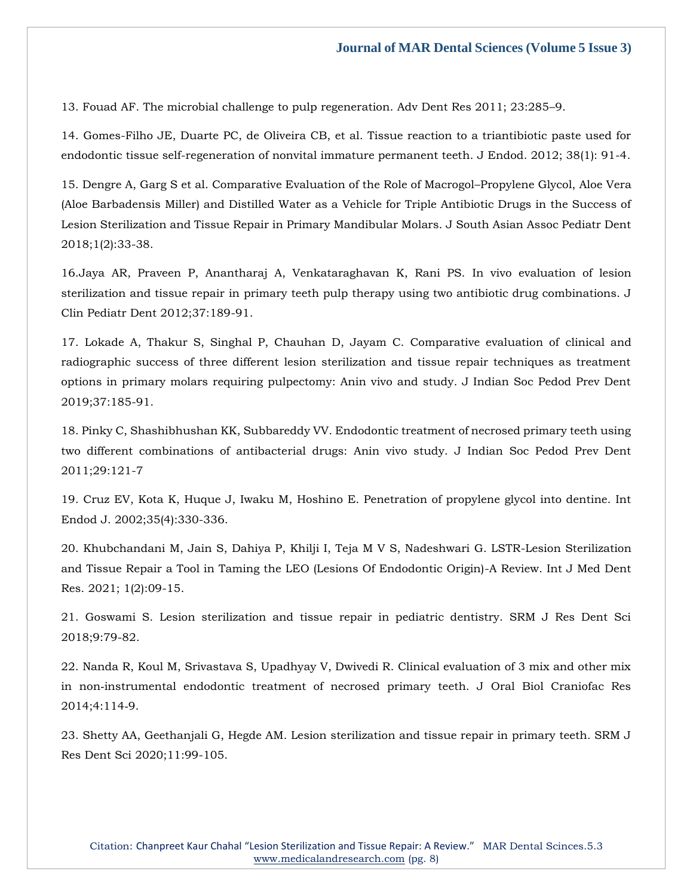13. [Fouad AF. The microbial challenge to pulp regeneration. Adv Dent Res 2011; 23:285](https://www.google.com/search?q=The+microbial+challenge+to+pulp+regeneration&sxsrf=APq-WBuFK52FmZA4w5U9ac1EZ4-zvBymSw%3A1648028350499&ei=vuo6YvaQHvyfseMP0OK4yA0&ved=0ahUKEwj256SD-Nv2AhX8T2wGHVAxDtkQ4dUDCA4&oq=The+microbial+challenge+to+pulp+regeneration&gs_lcp=Cgdnd3Mtd2l6EAwyBQghEKABOgcIIxDqAhAnSgQIQRgASgQIRhgAUMYBWMYBYIUJaAFwAHgAgAGbAYgBmwGSAQMwLjGYAQCgAQGgAQKwAQrAAQE&sclient=gws-wiz)–9.

[14. Gomes-Filho JE, Duarte PC, de Oliveira CB, et al. Tissue reaction to a triantibiotic paste used for](https://www.google.com/search?q=Tissue+reaction+to+a+triantibiotic+paste+used+for+endodontic+tissue+self-regeneration+of+nonvital+immature+permanent+teeth&sxsrf=APq-WBsDdxb5_k1PCTVYji1sIzKDyMD2FA%3A1648028365786&ei=zeo6YoLHL8meseMPwfiO0Ac&ved=0ahUKEwjC4cmK-Nv2AhVJT2wGHUG8A3oQ4dUDCA4&oq=Tissue+reaction+to+a+triantibiotic+paste+used+for+endodontic+tissue+self-regeneration+of+nonvital+immature+permanent+teeth&gs_lcp=Cgdnd3Mtd2l6EAwyBwgjEOoCECcyBwgjEOoCECcyBwgjEOoCECcyBwgjEOoCECcyBwgjEOoCECcyBwgjEOoCECcyBwgjEOoCECcyBwgjEOoCECcyBwgjEOoCECcyBwgjEOoCECdKBAhBGABKBAhGGABQpgFYpgFgugdoAXAAeACAAQCIAQCSAQCYAQCgAQGgAQKwAQrAAQE&sclient=gws-wiz)  [endodontic tissue self-regeneration of nonvital immature permanent teeth. J Endod. 2012; 38\(1\): 91-4.](https://www.google.com/search?q=Tissue+reaction+to+a+triantibiotic+paste+used+for+endodontic+tissue+self-regeneration+of+nonvital+immature+permanent+teeth&sxsrf=APq-WBsDdxb5_k1PCTVYji1sIzKDyMD2FA%3A1648028365786&ei=zeo6YoLHL8meseMPwfiO0Ac&ved=0ahUKEwjC4cmK-Nv2AhVJT2wGHUG8A3oQ4dUDCA4&oq=Tissue+reaction+to+a+triantibiotic+paste+used+for+endodontic+tissue+self-regeneration+of+nonvital+immature+permanent+teeth&gs_lcp=Cgdnd3Mtd2l6EAwyBwgjEOoCECcyBwgjEOoCECcyBwgjEOoCECcyBwgjEOoCECcyBwgjEOoCECcyBwgjEOoCECcyBwgjEOoCECcyBwgjEOoCECcyBwgjEOoCECcyBwgjEOoCECdKBAhBGABKBAhGGABQpgFYpgFgugdoAXAAeACAAQCIAQCSAQCYAQCgAQGgAQKwAQrAAQE&sclient=gws-wiz)

[15. Dengre A, Garg S et al. Comparative Evaluation of the Role of Macrogol](https://www.google.com/search?q=Comparative+Evaluation+of+the+Role+of+Macrogol%E2%80%93Propylene+Glycol%2C+Aloe+Vera+%28Aloe+Barbadensis+Miller%29+and+Distilled+Water+as+a+Vehicle+for+Triple+Antibiotic+Drugs+in+the+Success+of+Lesion+Sterilization+and+Tissue+Repair+in+Primary+Mandibular+Molars&sxsrf=APq-WBs-G7SDCDXGjhaqqRLqcD9sGUIWOA%3A1648028378150&ei=2uo6YvPiCNicseMPmMuUsAI&ved=0ahUKEwjzt7yQ-Nv2AhVYTmwGHZglBSYQ4dUDCA4&oq=Comparative+Evaluation+of+the+Role+of+Macrogol%E2%80%93Propylene+Glycol%2C+Aloe+Vera+%28Aloe+Barbadensis+Miller%29+and+Distilled+Water+as+a+Vehicle+for+Triple+Antibiotic+Drugs+in+the+Success+of+Lesion+Sterilization+and+Tissue+Repair+in+Primary+Mandibular+Molars&gs_lcp=Cgdnd3Mtd2l6EAwyBwgjEOoCECcyBwgjEOoCECcyBwgjEOoCECcyBwgjEOoCECcyBwgjEOoCECcyBwgjEOoCECcyBwgjEOoCECcyBwgjEOoCECcyBwgjEOoCECcyBwgjEOoCECdKBAhBGABKBAhGGABQqANYqANg2whoAXAAeACAAQCIAQCSAQCYAQCgAQGgAQKwAQrAAQE&sclient=gws-wiz)–Propylene Glycol, Aloe Vera [\(Aloe Barbadensis Miller\) and Distilled Water as a Vehicle for Triple Antibiotic Drugs in the Success of](https://www.google.com/search?q=Comparative+Evaluation+of+the+Role+of+Macrogol%E2%80%93Propylene+Glycol%2C+Aloe+Vera+%28Aloe+Barbadensis+Miller%29+and+Distilled+Water+as+a+Vehicle+for+Triple+Antibiotic+Drugs+in+the+Success+of+Lesion+Sterilization+and+Tissue+Repair+in+Primary+Mandibular+Molars&sxsrf=APq-WBs-G7SDCDXGjhaqqRLqcD9sGUIWOA%3A1648028378150&ei=2uo6YvPiCNicseMPmMuUsAI&ved=0ahUKEwjzt7yQ-Nv2AhVYTmwGHZglBSYQ4dUDCA4&oq=Comparative+Evaluation+of+the+Role+of+Macrogol%E2%80%93Propylene+Glycol%2C+Aloe+Vera+%28Aloe+Barbadensis+Miller%29+and+Distilled+Water+as+a+Vehicle+for+Triple+Antibiotic+Drugs+in+the+Success+of+Lesion+Sterilization+and+Tissue+Repair+in+Primary+Mandibular+Molars&gs_lcp=Cgdnd3Mtd2l6EAwyBwgjEOoCECcyBwgjEOoCECcyBwgjEOoCECcyBwgjEOoCECcyBwgjEOoCECcyBwgjEOoCECcyBwgjEOoCECcyBwgjEOoCECcyBwgjEOoCECcyBwgjEOoCECdKBAhBGABKBAhGGABQqANYqANg2whoAXAAeACAAQCIAQCSAQCYAQCgAQGgAQKwAQrAAQE&sclient=gws-wiz)  [Lesion Sterilization and Tissue Repair in Primary Mandibular Molars. J South Asian Assoc Pediatr Dent](https://www.google.com/search?q=Comparative+Evaluation+of+the+Role+of+Macrogol%E2%80%93Propylene+Glycol%2C+Aloe+Vera+%28Aloe+Barbadensis+Miller%29+and+Distilled+Water+as+a+Vehicle+for+Triple+Antibiotic+Drugs+in+the+Success+of+Lesion+Sterilization+and+Tissue+Repair+in+Primary+Mandibular+Molars&sxsrf=APq-WBs-G7SDCDXGjhaqqRLqcD9sGUIWOA%3A1648028378150&ei=2uo6YvPiCNicseMPmMuUsAI&ved=0ahUKEwjzt7yQ-Nv2AhVYTmwGHZglBSYQ4dUDCA4&oq=Comparative+Evaluation+of+the+Role+of+Macrogol%E2%80%93Propylene+Glycol%2C+Aloe+Vera+%28Aloe+Barbadensis+Miller%29+and+Distilled+Water+as+a+Vehicle+for+Triple+Antibiotic+Drugs+in+the+Success+of+Lesion+Sterilization+and+Tissue+Repair+in+Primary+Mandibular+Molars&gs_lcp=Cgdnd3Mtd2l6EAwyBwgjEOoCECcyBwgjEOoCECcyBwgjEOoCECcyBwgjEOoCECcyBwgjEOoCECcyBwgjEOoCECcyBwgjEOoCECcyBwgjEOoCECcyBwgjEOoCECcyBwgjEOoCECdKBAhBGABKBAhGGABQqANYqANg2whoAXAAeACAAQCIAQCSAQCYAQCgAQGgAQKwAQrAAQE&sclient=gws-wiz)  [2018;1\(2\):33-38.](https://www.google.com/search?q=Comparative+Evaluation+of+the+Role+of+Macrogol%E2%80%93Propylene+Glycol%2C+Aloe+Vera+%28Aloe+Barbadensis+Miller%29+and+Distilled+Water+as+a+Vehicle+for+Triple+Antibiotic+Drugs+in+the+Success+of+Lesion+Sterilization+and+Tissue+Repair+in+Primary+Mandibular+Molars&sxsrf=APq-WBs-G7SDCDXGjhaqqRLqcD9sGUIWOA%3A1648028378150&ei=2uo6YvPiCNicseMPmMuUsAI&ved=0ahUKEwjzt7yQ-Nv2AhVYTmwGHZglBSYQ4dUDCA4&oq=Comparative+Evaluation+of+the+Role+of+Macrogol%E2%80%93Propylene+Glycol%2C+Aloe+Vera+%28Aloe+Barbadensis+Miller%29+and+Distilled+Water+as+a+Vehicle+for+Triple+Antibiotic+Drugs+in+the+Success+of+Lesion+Sterilization+and+Tissue+Repair+in+Primary+Mandibular+Molars&gs_lcp=Cgdnd3Mtd2l6EAwyBwgjEOoCECcyBwgjEOoCECcyBwgjEOoCECcyBwgjEOoCECcyBwgjEOoCECcyBwgjEOoCECcyBwgjEOoCECcyBwgjEOoCECcyBwgjEOoCECcyBwgjEOoCECdKBAhBGABKBAhGGABQqANYqANg2whoAXAAeACAAQCIAQCSAQCYAQCgAQGgAQKwAQrAAQE&sclient=gws-wiz)

[16.Jaya AR, Praveen P, Anantharaj A, Venkataraghavan K, Rani PS.](https://www.google.com/search?q=In+vivo+evaluation+of+lesion+sterilization+and+tissue+repair+in+primary+teeth+pulp+therapy+using+two+antibiotic+drug+combinations&sxsrf=APq-WBvYLfU-6DzczBeOXerEVYzRokcKMw%3A1648028394761&ei=6uo6YouBLpeSseMPmZabSA&ved=0ahUKEwiLnrKY-Nv2AhUXSWwGHRnLBgkQ4dUDCA4&oq=In+vivo+evaluation+of+lesion+sterilization+and+tissue+repair+in+primary+teeth+pulp+therapy+using+two+antibiotic+drug+combinations&gs_lcp=Cgdnd3Mtd2l6EAwyBwgjEOoCECcyBwgjEOoCECcyBwgjEOoCECcyBwgjEOoCECcyBwgjEOoCECcyBwgjEOoCECcyBwgjEOoCECcyBwgjEOoCECcyBwgjEOoCECcyBwgjEOoCECdKBAhBGABKBAhGGABQ4QNY4QNg_QdoAXAAeACAAQCIAQCSAQCYAQCgAQGgAQKwAQrAAQE&sclient=gws-wiz) In vivo evaluation of lesion [sterilization and tissue repair in primary teeth pulp therapy using two antibiotic drug combinations. J](https://www.google.com/search?q=In+vivo+evaluation+of+lesion+sterilization+and+tissue+repair+in+primary+teeth+pulp+therapy+using+two+antibiotic+drug+combinations&sxsrf=APq-WBvYLfU-6DzczBeOXerEVYzRokcKMw%3A1648028394761&ei=6uo6YouBLpeSseMPmZabSA&ved=0ahUKEwiLnrKY-Nv2AhUXSWwGHRnLBgkQ4dUDCA4&oq=In+vivo+evaluation+of+lesion+sterilization+and+tissue+repair+in+primary+teeth+pulp+therapy+using+two+antibiotic+drug+combinations&gs_lcp=Cgdnd3Mtd2l6EAwyBwgjEOoCECcyBwgjEOoCECcyBwgjEOoCECcyBwgjEOoCECcyBwgjEOoCECcyBwgjEOoCECcyBwgjEOoCECcyBwgjEOoCECcyBwgjEOoCECcyBwgjEOoCECdKBAhBGABKBAhGGABQ4QNY4QNg_QdoAXAAeACAAQCIAQCSAQCYAQCgAQGgAQKwAQrAAQE&sclient=gws-wiz)  [Clin Pediatr Dent 2012;37:189-91.](https://www.google.com/search?q=In+vivo+evaluation+of+lesion+sterilization+and+tissue+repair+in+primary+teeth+pulp+therapy+using+two+antibiotic+drug+combinations&sxsrf=APq-WBvYLfU-6DzczBeOXerEVYzRokcKMw%3A1648028394761&ei=6uo6YouBLpeSseMPmZabSA&ved=0ahUKEwiLnrKY-Nv2AhUXSWwGHRnLBgkQ4dUDCA4&oq=In+vivo+evaluation+of+lesion+sterilization+and+tissue+repair+in+primary+teeth+pulp+therapy+using+two+antibiotic+drug+combinations&gs_lcp=Cgdnd3Mtd2l6EAwyBwgjEOoCECcyBwgjEOoCECcyBwgjEOoCECcyBwgjEOoCECcyBwgjEOoCECcyBwgjEOoCECcyBwgjEOoCECcyBwgjEOoCECcyBwgjEOoCECcyBwgjEOoCECdKBAhBGABKBAhGGABQ4QNY4QNg_QdoAXAAeACAAQCIAQCSAQCYAQCgAQGgAQKwAQrAAQE&sclient=gws-wiz) 

[17. Lokade A, Thakur S, Singhal P, Chauhan D, Jayam C. Comparative evaluation of clinical and](https://www.google.com/search?q=.+Comparative+evaluation+of+clinical+and+radiographic+success+of+three+different+lesion+sterilization+and+tissue+repair+techniques+as+treatment+options+in+primary+molars+requiring+pulpectomy%3A+Anin+vivo+and+study&sxsrf=APq-WBuGdD3wajv6T7uQeCk9NMjpsOdgcg%3A1648028482160&ei=Qus6Yqi0CYudseMP--qbuAY&ved=0ahUKEwio3YjC-Nv2AhWLTmwGHXv1BmcQ4dUDCA4&oq=.+Comparative+evaluation+of+clinical+and+radiographic+success+of+three+different+lesion+sterilization+and+tissue+repair+techniques+as+treatment+options+in+primary+molars+requiring+pulpectomy%3A+Anin+vivo+and+study&gs_lcp=Cgdnd3Mtd2l6EAwyBwgjEOoCECcyBwgjEOoCECcyBwgjEOoCECcyBwgjEOoCECcyBwgjEOoCECcyBwgjEOoCECcyBwgjEOoCECcyBwgjEOoCECcyBwgjEOoCECcyBwgjEOoCECdKBAhBGABKBAhGGABQiAFYiAFg3QloAXAAeACAAQCIAQCSAQCYAQCgAQGgAQKwAQrAAQE&sclient=gws-wiz)  [radiographic success of three different lesion sterilization and tissue repair techniques as treatment](https://www.google.com/search?q=.+Comparative+evaluation+of+clinical+and+radiographic+success+of+three+different+lesion+sterilization+and+tissue+repair+techniques+as+treatment+options+in+primary+molars+requiring+pulpectomy%3A+Anin+vivo+and+study&sxsrf=APq-WBuGdD3wajv6T7uQeCk9NMjpsOdgcg%3A1648028482160&ei=Qus6Yqi0CYudseMP--qbuAY&ved=0ahUKEwio3YjC-Nv2AhWLTmwGHXv1BmcQ4dUDCA4&oq=.+Comparative+evaluation+of+clinical+and+radiographic+success+of+three+different+lesion+sterilization+and+tissue+repair+techniques+as+treatment+options+in+primary+molars+requiring+pulpectomy%3A+Anin+vivo+and+study&gs_lcp=Cgdnd3Mtd2l6EAwyBwgjEOoCECcyBwgjEOoCECcyBwgjEOoCECcyBwgjEOoCECcyBwgjEOoCECcyBwgjEOoCECcyBwgjEOoCECcyBwgjEOoCECcyBwgjEOoCECcyBwgjEOoCECdKBAhBGABKBAhGGABQiAFYiAFg3QloAXAAeACAAQCIAQCSAQCYAQCgAQGgAQKwAQrAAQE&sclient=gws-wiz)  [options in primary molars requiring pulpectomy: Anin vivo and study. J Indian Soc Pedod Prev Dent](https://www.google.com/search?q=.+Comparative+evaluation+of+clinical+and+radiographic+success+of+three+different+lesion+sterilization+and+tissue+repair+techniques+as+treatment+options+in+primary+molars+requiring+pulpectomy%3A+Anin+vivo+and+study&sxsrf=APq-WBuGdD3wajv6T7uQeCk9NMjpsOdgcg%3A1648028482160&ei=Qus6Yqi0CYudseMP--qbuAY&ved=0ahUKEwio3YjC-Nv2AhWLTmwGHXv1BmcQ4dUDCA4&oq=.+Comparative+evaluation+of+clinical+and+radiographic+success+of+three+different+lesion+sterilization+and+tissue+repair+techniques+as+treatment+options+in+primary+molars+requiring+pulpectomy%3A+Anin+vivo+and+study&gs_lcp=Cgdnd3Mtd2l6EAwyBwgjEOoCECcyBwgjEOoCECcyBwgjEOoCECcyBwgjEOoCECcyBwgjEOoCECcyBwgjEOoCECcyBwgjEOoCECcyBwgjEOoCECcyBwgjEOoCECcyBwgjEOoCECdKBAhBGABKBAhGGABQiAFYiAFg3QloAXAAeACAAQCIAQCSAQCYAQCgAQGgAQKwAQrAAQE&sclient=gws-wiz)  [2019;37:185-91.](https://www.google.com/search?q=.+Comparative+evaluation+of+clinical+and+radiographic+success+of+three+different+lesion+sterilization+and+tissue+repair+techniques+as+treatment+options+in+primary+molars+requiring+pulpectomy%3A+Anin+vivo+and+study&sxsrf=APq-WBuGdD3wajv6T7uQeCk9NMjpsOdgcg%3A1648028482160&ei=Qus6Yqi0CYudseMP--qbuAY&ved=0ahUKEwio3YjC-Nv2AhWLTmwGHXv1BmcQ4dUDCA4&oq=.+Comparative+evaluation+of+clinical+and+radiographic+success+of+three+different+lesion+sterilization+and+tissue+repair+techniques+as+treatment+options+in+primary+molars+requiring+pulpectomy%3A+Anin+vivo+and+study&gs_lcp=Cgdnd3Mtd2l6EAwyBwgjEOoCECcyBwgjEOoCECcyBwgjEOoCECcyBwgjEOoCECcyBwgjEOoCECcyBwgjEOoCECcyBwgjEOoCECcyBwgjEOoCECcyBwgjEOoCECcyBwgjEOoCECdKBAhBGABKBAhGGABQiAFYiAFg3QloAXAAeACAAQCIAQCSAQCYAQCgAQGgAQKwAQrAAQE&sclient=gws-wiz)

[18. Pinky C, Shashibhushan KK, Subbareddy VV. Endodontic treatment of necrosed primary teeth using](https://www.google.com/search?q=Endodontic+treatment+of+necrosed+primary+teeth+using+two+different+combinations+of+antibacterial+drugs%3A+Anin+vivo+study.+&sxsrf=APq-WBtduuMQw2BemKKi_pVKeJbDW2Af0g%3A1648028503470&ei=V-s6YpOpHMCfseMPku-nkAI&ved=0ahUKEwjTsJ3M-Nv2AhXAT2wGHZL3CSIQ4dUDCA4&oq=Endodontic+treatment+of+necrosed+primary+teeth+using+two+different+combinations+of+antibacterial+drugs%3A+Anin+vivo+study.+&gs_lcp=Cgdnd3Mtd2l6EAwyBwgjEOoCECcyBwgjEOoCECcyBwgjEOoCECcyBwgjEOoCECcyBwgjEOoCECcyBwgjEOoCECcyBwgjEOoCECcyBwgjEOoCECcyBwgjEOoCECcyBwgjEOoCECdKBAhBGABKBAhGGABQsQFYsQFgrAdoAXABeACAAQCIAQCSAQCYAQCgAQGgAQKwAQrAAQE&sclient=gws-wiz)  [two different combinations of antibacterial drugs: Anin vivo study. J Indian Soc Pedod Prev Dent](https://www.google.com/search?q=Endodontic+treatment+of+necrosed+primary+teeth+using+two+different+combinations+of+antibacterial+drugs%3A+Anin+vivo+study.+&sxsrf=APq-WBtduuMQw2BemKKi_pVKeJbDW2Af0g%3A1648028503470&ei=V-s6YpOpHMCfseMPku-nkAI&ved=0ahUKEwjTsJ3M-Nv2AhXAT2wGHZL3CSIQ4dUDCA4&oq=Endodontic+treatment+of+necrosed+primary+teeth+using+two+different+combinations+of+antibacterial+drugs%3A+Anin+vivo+study.+&gs_lcp=Cgdnd3Mtd2l6EAwyBwgjEOoCECcyBwgjEOoCECcyBwgjEOoCECcyBwgjEOoCECcyBwgjEOoCECcyBwgjEOoCECcyBwgjEOoCECcyBwgjEOoCECcyBwgjEOoCECcyBwgjEOoCECdKBAhBGABKBAhGGABQsQFYsQFgrAdoAXABeACAAQCIAQCSAQCYAQCgAQGgAQKwAQrAAQE&sclient=gws-wiz)  [2011;29:121-7](https://www.google.com/search?q=Endodontic+treatment+of+necrosed+primary+teeth+using+two+different+combinations+of+antibacterial+drugs%3A+Anin+vivo+study.+&sxsrf=APq-WBtduuMQw2BemKKi_pVKeJbDW2Af0g%3A1648028503470&ei=V-s6YpOpHMCfseMPku-nkAI&ved=0ahUKEwjTsJ3M-Nv2AhXAT2wGHZL3CSIQ4dUDCA4&oq=Endodontic+treatment+of+necrosed+primary+teeth+using+two+different+combinations+of+antibacterial+drugs%3A+Anin+vivo+study.+&gs_lcp=Cgdnd3Mtd2l6EAwyBwgjEOoCECcyBwgjEOoCECcyBwgjEOoCECcyBwgjEOoCECcyBwgjEOoCECcyBwgjEOoCECcyBwgjEOoCECcyBwgjEOoCECcyBwgjEOoCECcyBwgjEOoCECdKBAhBGABKBAhGGABQsQFYsQFgrAdoAXABeACAAQCIAQCSAQCYAQCgAQGgAQKwAQrAAQE&sclient=gws-wiz)

[19. Cruz EV, Kota K, Huque J, Iwaku M, Hoshino E. Penetration of propylene glycol into dentine. Int](https://www.google.com/search?q=Penetration+of+propylene+glycol+into+dentine&sxsrf=APq-WBs2Y68mC18FWNqQs6byXFKrKITTZA%3A1648028815760&ei=j-w6YpOILtmgseMPnqSGmAU&ved=0ahUKEwjTi5Lh-dv2AhVZUGwGHR6SAVMQ4dUDCA4&oq=Penetration+of+propylene+glycol+into+dentine&gs_lcp=Cgdnd3Mtd2l6EAw6BwgjEOoCECdKBAhBGABKBAhGGABQxgFYxgFggQZoAXAAeACAAZcBiAGXAZIBAzAuMZgBAKABAaABArABCsABAQ&sclient=gws-wiz)  [Endod J. 2002;35\(4\):330-336.](https://www.google.com/search?q=Penetration+of+propylene+glycol+into+dentine&sxsrf=APq-WBs2Y68mC18FWNqQs6byXFKrKITTZA%3A1648028815760&ei=j-w6YpOILtmgseMPnqSGmAU&ved=0ahUKEwjTi5Lh-dv2AhVZUGwGHR6SAVMQ4dUDCA4&oq=Penetration+of+propylene+glycol+into+dentine&gs_lcp=Cgdnd3Mtd2l6EAw6BwgjEOoCECdKBAhBGABKBAhGGABQxgFYxgFggQZoAXAAeACAAZcBiAGXAZIBAzAuMZgBAKABAaABArABCsABAQ&sclient=gws-wiz)

[20. Khubchandani M, Jain S, Dahiya P, Khilji I, Teja M V S, Nadeshwari G. LSTR-Lesion Sterilization](https://www.google.com/search?q=LSTR-Lesion+Sterilization+and+Tissue+Repair+a+Tool+in+Taming+the+LEO+%28Lesions+Of+Endodontic+Origin%29-A+Review&sxsrf=APq-WBu7FxiRJlGta9oAw3PLNAuyD0fwuw%3A1648028830276&ei=nuw6YsPOENeUseMPs46piA4&ved=0ahUKEwjDlYjo-dv2AhVXSmwGHTNHCuEQ4dUDCA4&oq=LSTR-Lesion+Sterilization+and+Tissue+Repair+a+Tool+in+Taming+the+LEO+%28Lesions+Of+Endodontic+Origin%29-A+Review&gs_lcp=Cgdnd3Mtd2l6EAwyBwgjEOoCECcyBwgjEOoCECcyBwgjEOoCECcyBwgjEOoCECcyBwgjEOoCECcyBwgjEOoCECcyBwgjEOoCECcyBwgjEOoCECcyBwgjEOoCECcyBwgjEOoCECdKBAhBGABKBAhGGABQxQFYxQFgiAdoAXABeACAAQCIAQCSAQCYAQCgAQGgAQKwAQrAAQE&sclient=gws-wiz)  [and Tissue Repair a Tool in Taming the LEO \(Lesions Of Endodontic Origin\)-A Review. Int J Med Dent](https://www.google.com/search?q=LSTR-Lesion+Sterilization+and+Tissue+Repair+a+Tool+in+Taming+the+LEO+%28Lesions+Of+Endodontic+Origin%29-A+Review&sxsrf=APq-WBu7FxiRJlGta9oAw3PLNAuyD0fwuw%3A1648028830276&ei=nuw6YsPOENeUseMPs46piA4&ved=0ahUKEwjDlYjo-dv2AhVXSmwGHTNHCuEQ4dUDCA4&oq=LSTR-Lesion+Sterilization+and+Tissue+Repair+a+Tool+in+Taming+the+LEO+%28Lesions+Of+Endodontic+Origin%29-A+Review&gs_lcp=Cgdnd3Mtd2l6EAwyBwgjEOoCECcyBwgjEOoCECcyBwgjEOoCECcyBwgjEOoCECcyBwgjEOoCECcyBwgjEOoCECcyBwgjEOoCECcyBwgjEOoCECcyBwgjEOoCECcyBwgjEOoCECdKBAhBGABKBAhGGABQxQFYxQFgiAdoAXABeACAAQCIAQCSAQCYAQCgAQGgAQKwAQrAAQE&sclient=gws-wiz)  [Res. 2021; 1\(2\):09-15.](https://www.google.com/search?q=LSTR-Lesion+Sterilization+and+Tissue+Repair+a+Tool+in+Taming+the+LEO+%28Lesions+Of+Endodontic+Origin%29-A+Review&sxsrf=APq-WBu7FxiRJlGta9oAw3PLNAuyD0fwuw%3A1648028830276&ei=nuw6YsPOENeUseMPs46piA4&ved=0ahUKEwjDlYjo-dv2AhVXSmwGHTNHCuEQ4dUDCA4&oq=LSTR-Lesion+Sterilization+and+Tissue+Repair+a+Tool+in+Taming+the+LEO+%28Lesions+Of+Endodontic+Origin%29-A+Review&gs_lcp=Cgdnd3Mtd2l6EAwyBwgjEOoCECcyBwgjEOoCECcyBwgjEOoCECcyBwgjEOoCECcyBwgjEOoCECcyBwgjEOoCECcyBwgjEOoCECcyBwgjEOoCECcyBwgjEOoCECcyBwgjEOoCECdKBAhBGABKBAhGGABQxQFYxQFgiAdoAXABeACAAQCIAQCSAQCYAQCgAQGgAQKwAQrAAQE&sclient=gws-wiz)

[21. Goswami S. Lesion sterilization and tissue repair in pediatric dentistry. SRM J Res Dent Sci](https://www.google.com/search?q=Lesion+sterilization+and+tissue+repair+in+pediatric+dentistry&sxsrf=APq-WBs_RgUz-oBlbHrq7sIzhLMjb6MrzQ%3A1648028842721&ei=quw6YtDEK5yQseMP_LupmA0&ved=0ahUKEwjQwf_t-dv2AhUcSGwGHfxdCtMQ4dUDCA4&oq=Lesion+sterilization+and+tissue+repair+in+pediatric+dentistry&gs_lcp=Cgdnd3Mtd2l6EAwyBQgAEIAEOgcIIxDqAhAnSgQIQRgASgQIRhgAUPMBWPMBYN0IaAFwAXgAgAFXiAFXkgEBMZgBAKABAaABArABCsABAQ&sclient=gws-wiz)  [2018;9:79-82.](https://www.google.com/search?q=Lesion+sterilization+and+tissue+repair+in+pediatric+dentistry&sxsrf=APq-WBs_RgUz-oBlbHrq7sIzhLMjb6MrzQ%3A1648028842721&ei=quw6YtDEK5yQseMP_LupmA0&ved=0ahUKEwjQwf_t-dv2AhUcSGwGHfxdCtMQ4dUDCA4&oq=Lesion+sterilization+and+tissue+repair+in+pediatric+dentistry&gs_lcp=Cgdnd3Mtd2l6EAwyBQgAEIAEOgcIIxDqAhAnSgQIQRgASgQIRhgAUPMBWPMBYN0IaAFwAXgAgAFXiAFXkgEBMZgBAKABAaABArABCsABAQ&sclient=gws-wiz)

[22. Nanda R, Koul M, Srivastava S, Upadhyay V, Dwivedi R. Clinical evaluation of 3 mix and other mix](https://www.google.com/search?q=Clinical+evaluation+of+3+mix+and+other+mix+in+non%E2%80%91instrumental+endodontic+treatment+of+necrosed+primary+teeth&sxsrf=APq-WBtPYcY5k0BBQelHwjFKVRz6cmuQ7A%3A1648028856573&ei=uOw6Yry7IrShseMPw8qJqAs&ved=0ahUKEwi898z0-dv2AhW0UGwGHUNlArUQ4dUDCA4&oq=Clinical+evaluation+of+3+mix+and+other+mix+in+non%E2%80%91instrumental+endodontic+treatment+of+necrosed+primary+teeth&gs_lcp=Cgdnd3Mtd2l6EAwyBwgjEOoCECcyBwgjEOoCECcyBwgjEOoCECcyBwgjEOoCECcyBwgjEOoCECcyBwgjEOoCECcyBwgjEOoCECcyBwgjEOoCECcyBwgjEOoCECcyBwgjEOoCECdKBAhBGABKBAhGGABQwhBYwhBghRZoAXABeACAAQCIAQCSAQCYAQCgAQGgAQKwAQrAAQE&sclient=gws-wiz)  in non‑[instrumental endodontic treatment of necrosed primary teeth. J Oral Biol Craniofac Res](https://www.google.com/search?q=Clinical+evaluation+of+3+mix+and+other+mix+in+non%E2%80%91instrumental+endodontic+treatment+of+necrosed+primary+teeth&sxsrf=APq-WBtPYcY5k0BBQelHwjFKVRz6cmuQ7A%3A1648028856573&ei=uOw6Yry7IrShseMPw8qJqAs&ved=0ahUKEwi898z0-dv2AhW0UGwGHUNlArUQ4dUDCA4&oq=Clinical+evaluation+of+3+mix+and+other+mix+in+non%E2%80%91instrumental+endodontic+treatment+of+necrosed+primary+teeth&gs_lcp=Cgdnd3Mtd2l6EAwyBwgjEOoCECcyBwgjEOoCECcyBwgjEOoCECcyBwgjEOoCECcyBwgjEOoCECcyBwgjEOoCECcyBwgjEOoCECcyBwgjEOoCECcyBwgjEOoCECcyBwgjEOoCECdKBAhBGABKBAhGGABQwhBYwhBghRZoAXABeACAAQCIAQCSAQCYAQCgAQGgAQKwAQrAAQE&sclient=gws-wiz)  [2014;4:114](https://www.google.com/search?q=Clinical+evaluation+of+3+mix+and+other+mix+in+non%E2%80%91instrumental+endodontic+treatment+of+necrosed+primary+teeth&sxsrf=APq-WBtPYcY5k0BBQelHwjFKVRz6cmuQ7A%3A1648028856573&ei=uOw6Yry7IrShseMPw8qJqAs&ved=0ahUKEwi898z0-dv2AhW0UGwGHUNlArUQ4dUDCA4&oq=Clinical+evaluation+of+3+mix+and+other+mix+in+non%E2%80%91instrumental+endodontic+treatment+of+necrosed+primary+teeth&gs_lcp=Cgdnd3Mtd2l6EAwyBwgjEOoCECcyBwgjEOoCECcyBwgjEOoCECcyBwgjEOoCECcyBwgjEOoCECcyBwgjEOoCECcyBwgjEOoCECcyBwgjEOoCECcyBwgjEOoCECcyBwgjEOoCECdKBAhBGABKBAhGGABQwhBYwhBghRZoAXABeACAAQCIAQCSAQCYAQCgAQGgAQKwAQrAAQE&sclient=gws-wiz)‑9.

[23. Shetty AA, Geethanjali G, Hegde AM. Lesion sterilization and tissue repair in primary teeth. SRM J](https://www.google.com/search?q=Lesion+sterilization+and+tissue+repair+in+primary+teeth&sxsrf=APq-WBtkEMCh0-x77aUOjc-c-nIhUJKrmg%3A1648028871173&ei=x-w6Yq-ICrqUseMP7KK6oA4&ved=0ahUKEwjvh8j7-dv2AhU6SmwGHWyRDuQQ4dUDCA4&oq=Lesion+sterilization+and+tissue+repair+in+primary+teeth&gs_lcp=Cgdnd3Mtd2l6EAwyCAgAEBYQChAeOgcIIxDqAhAnSgQIQRgASgQIRhgAUL0BWL0BYKEGaAFwAHgAgAFeiAFekgEBMZgBAKABAaABArABCsABAQ&sclient=gws-wiz)  [Res Dent Sci 2020;11:99-105.](https://www.google.com/search?q=Lesion+sterilization+and+tissue+repair+in+primary+teeth&sxsrf=APq-WBtkEMCh0-x77aUOjc-c-nIhUJKrmg%3A1648028871173&ei=x-w6Yq-ICrqUseMP7KK6oA4&ved=0ahUKEwjvh8j7-dv2AhU6SmwGHWyRDuQQ4dUDCA4&oq=Lesion+sterilization+and+tissue+repair+in+primary+teeth&gs_lcp=Cgdnd3Mtd2l6EAwyCAgAEBYQChAeOgcIIxDqAhAnSgQIQRgASgQIRhgAUL0BWL0BYKEGaAFwAHgAgAFeiAFekgEBMZgBAKABAaABArABCsABAQ&sclient=gws-wiz)